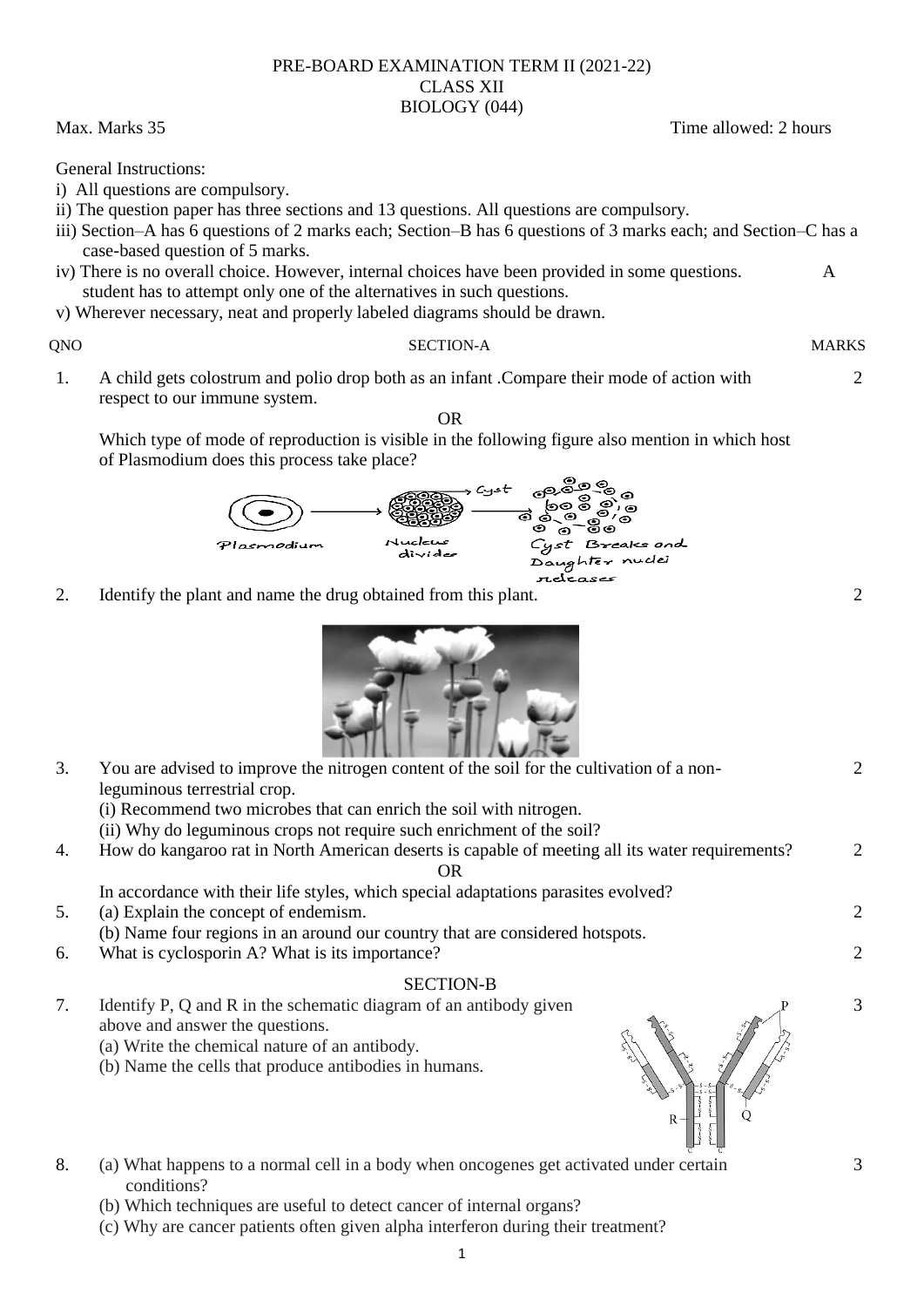### PRE-BOARD EXAMINATION TERM II (2021-22) CLASS XII BIOLOGY (044)

Max. Marks 35 Time allowed: 2 hours

General Instructions:

- i) All questions are compulsory.
- ii) The question paper has three sections and 13 questions. All questions are compulsory.
- iii) Section–A has 6 questions of 2 marks each; Section–B has 6 questions of 3 marks each; and Section–C has a case-based question of 5 marks.
- iv) There is no overall choice. However, internal choices have been provided in some questions. A student has to attempt only one of the alternatives in such questions.
- v) Wherever necessary, neat and properly labeled diagrams should be drawn.

# QNO SECTION-A MARKS

1. A child gets colostrum and polio drop both as an infant .Compare their mode of action with respect to our immune system. OR

عباسابردوان

 $divide$ 

Which type of mode of reproduction is visible in the following figure also mention in which host of Plasmodium does this process take place?

Cyst

ಕ್ತಿಂತಿ

ීෙ

Cyst Breaks and

 $\sim$ ್ರೋ<br>೨೦,೬<br>೩೧

ඌවි

ත පි (5)

Daughter nuclei مدمدم ترامين

2. Identify the plant and name the drug obtained from this plant. 2

a*ndi*u



(i) Recommend two microbes that can enrich the soil with nitrogen.

(ii) Why do leguminous crops not require such enrichment of the soil?

4. How do kangaroo rat in North American deserts is capable of meeting all its water requirements? OR

In accordance with their life styles, which special adaptations parasites evolved?

5. (a) Explain the concept of endemism.

(b) Name four regions in an around our country that are considered hotspots.

6. What is cyclosporin A? What is its importance? 2

# SECTION-B

- 7. Identify P, Q and R in the schematic diagram of an antibody given above and answer the questions.
	- (a) Write the chemical nature of an antibody.
	- (b) Name the cells that produce antibodies in humans.
- 8. (a) What happens to a normal cell in a body when oncogenes get activated under certain conditions?
	- (b) Which techniques are useful to detect cancer of internal organs?
	- (c) Why are cancer patients often given alpha interferon during their treatment?





 $\mathcal{D}$ 

2

2

 $\mathcal{D}$ 

3

3